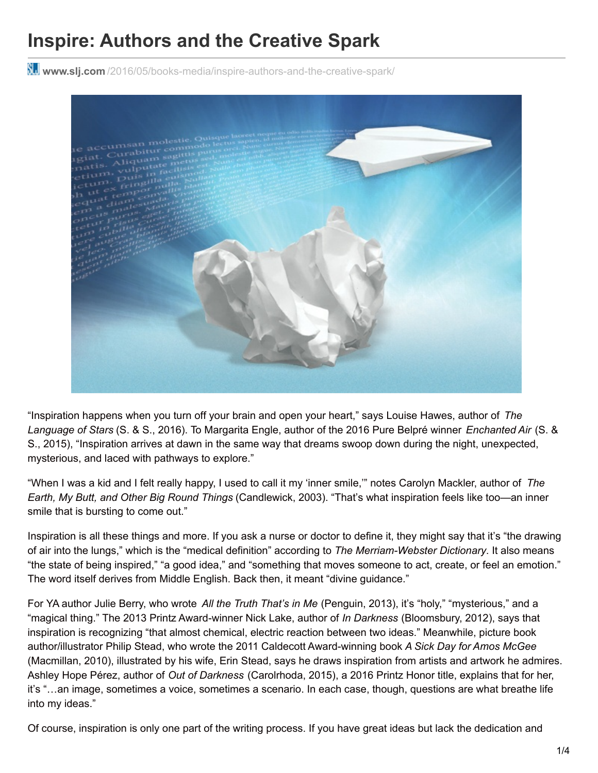## **Inspire: Authors and the Creative Spark**

**www.slj.com** [/2016/05/books-media/inspire-authors-and-the-creative-spark/](http://www.slj.com/2016/05/books-media/inspire-authors-and-the-creative-spark/)



"Inspiration happens when you turn off your brain and open your heart," says Louise Hawes, author of *The Language of Stars* (S. & S., 2016). To Margarita Engle, author of the 2016 Pure Belpré winner *Enchanted Air* (S. & S., 2015), "Inspiration arrives at dawn in the same way that dreams swoop down during the night, unexpected, mysterious, and laced with pathways to explore."

"When I was a kid and I felt really happy, I used to call it my 'inner smile,'" notes Carolyn Mackler, author of *The Earth, My Butt, and Other Big Round Things* (Candlewick, 2003). "That's what inspiration feels like too—an inner smile that is bursting to come out."

Inspiration is all these things and more. If you ask a nurse or doctor to define it, they might say that it's "the drawing of air into the lungs," which is the "medical definition" according to *The Merriam-Webster Dictionary*. It also means "the state of being inspired," "a good idea," and "something that moves someone to act, create, or feel an emotion." The word itself derives from Middle English. Back then, it meant "divine guidance."

For YA author Julie Berry, who wrote *All the Truth That's in Me* (Penguin, 2013), it's "holy," "mysterious," and a "magical thing." The 2013 Printz Award-winner Nick Lake, author of *In Darkness* (Bloomsbury, 2012), says that inspiration is recognizing "that almost chemical, electric reaction between two ideas." Meanwhile, picture book author/illustrator Philip Stead, who wrote the 2011 Caldecott Award-winning book *A Sick Day for Amos McGee* (Macmillan, 2010), illustrated by his wife, Erin Stead, says he draws inspiration from artists and artwork he admires. Ashley Hope Pérez, author of *Out of Darkness* (Carolrhoda, 2015), a 2016 Printz Honor title, explains that for her, it's "…an image, sometimes a voice, sometimes a scenario. In each case, though, questions are what breathe life into my ideas."

Of course, inspiration is only one part of the writing process. If you have great ideas but lack the dedication and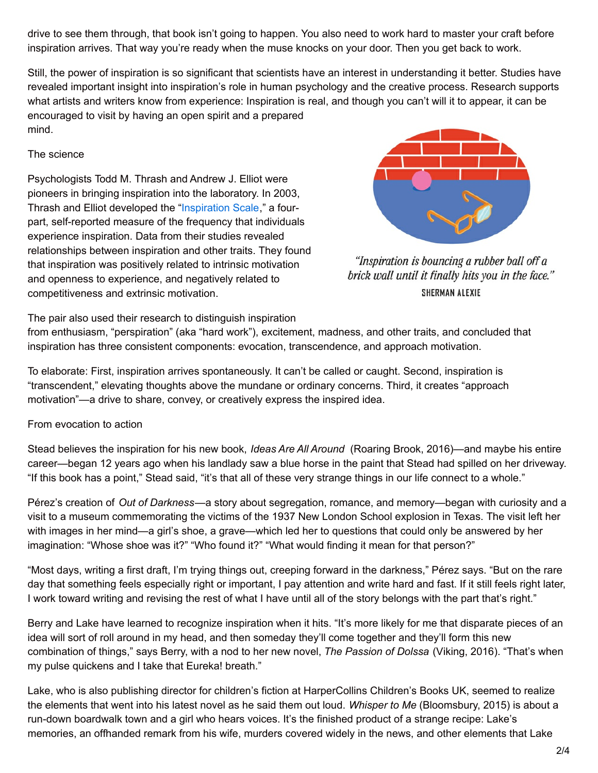drive to see them through, that book isn't going to happen. You also need to work hard to master your craft before inspiration arrives. That way you're ready when the muse knocks on your door. Then you get back to work.

Still, the power of inspiration is so significant that scientists have an interest in understanding it better. Studies have revealed important insight into inspiration's role in human psychology and the creative process. Research supports what artists and writers know from experience: Inspiration is real, and though you can't will it to appear, it can be encouraged to visit by having an open spirit and a prepared mind.

## The science

Psychologists Todd M. Thrash and Andrew J. Elliot were pioneers in bringing inspiration into the laboratory. In 2003, Thrash and Elliot developed the ["Inspiration](http://www.positivepsychology.org/resources/questionnaires-researchers/inspiration-scale) Scale," a fourpart, self-reported measure of the frequency that individuals experience inspiration. Data from their studies revealed relationships between inspiration and other traits. They found that inspiration was positively related to intrinsic motivation and openness to experience, and negatively related to competitiveness and extrinsic motivation.



"Inspiration is bouncing a rubber ball off a brick wall until it finally hits you in the face." **SHERMAN ALEXIE** 

The pair also used their research to distinguish inspiration

from enthusiasm, "perspiration" (aka "hard work"), excitement, madness, and other traits, and concluded that inspiration has three consistent components: evocation, transcendence, and approach motivation.

To elaborate: First, inspiration arrives spontaneously. It can't be called or caught. Second, inspiration is "transcendent," elevating thoughts above the mundane or ordinary concerns. Third, it creates "approach motivation"—a drive to share, convey, or creatively express the inspired idea.

From evocation to action

Stead believes the inspiration for his new book, *Ideas Are All Around* (Roaring Brook, 2016)—and maybe his entire career—began 12 years ago when his landlady saw a blue horse in the paint that Stead had spilled on her driveway. "If this book has a point," Stead said, "it's that all of these very strange things in our life connect to a whole."

Pérez's creation of *Out of Darkness*—a story about segregation, romance, and memory—began with curiosity and a visit to a museum commemorating the victims of the 1937 New London School explosion in Texas. The visit left her with images in her mind—a girl's shoe, a grave—which led her to questions that could only be answered by her imagination: "Whose shoe was it?" "Who found it?" "What would finding it mean for that person?"

"Most days, writing a first draft, I'm trying things out, creeping forward in the darkness," Pérez says. "But on the rare day that something feels especially right or important, I pay attention and write hard and fast. If it still feels right later, I work toward writing and revising the rest of what I have until all of the story belongs with the part that's right."

Berry and Lake have learned to recognize inspiration when it hits. "It's more likely for me that disparate pieces of an idea will sort of roll around in my head, and then someday they'll come together and they'll form this new combination of things," says Berry, with a nod to her new novel, *The Passion of Dolssa* (Viking, 2016). "That's when my pulse quickens and I take that Eureka! breath."

Lake, who is also publishing director for children's fiction at HarperCollins Children's Books UK, seemed to realize the elements that went into his latest novel as he said them out loud. *Whisper to Me* (Bloomsbury, 2015) is about a run-down boardwalk town and a girl who hears voices. It's the finished product of a strange recipe: Lake's memories, an offhanded remark from his wife, murders covered widely in the news, and other elements that Lake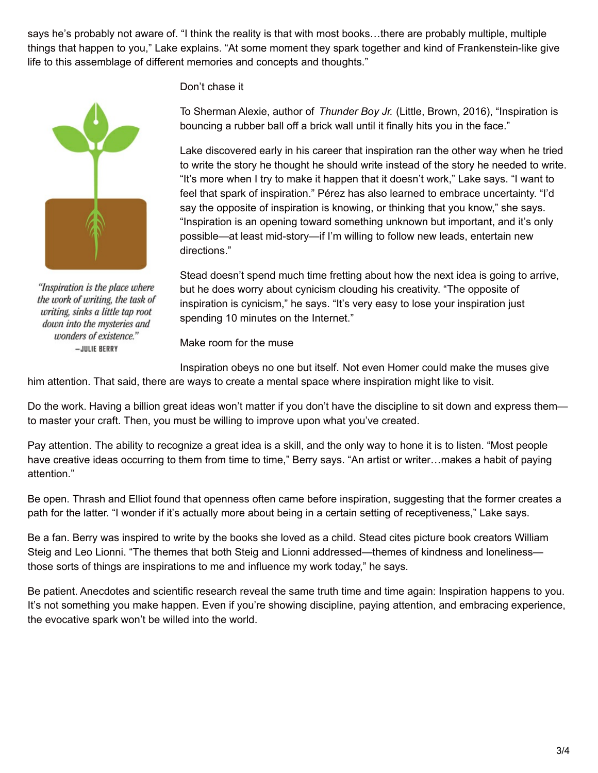says he's probably not aware of. "I think the reality is that with most books…there are probably multiple, multiple things that happen to you," Lake explains. "At some moment they spark together and kind of Frankenstein-like give life to this assemblage of different memories and concepts and thoughts."



"Inspiration is the place where the work of writing, the task of writing, sinks a little tap root down into the mysteries and wonders of existence." -JULIE BERRY

## Don't chase it

To Sherman Alexie, author of *Thunder Boy Jr.* (Little, Brown, 2016), "Inspiration is bouncing a rubber ball off a brick wall until it finally hits you in the face."

Lake discovered early in his career that inspiration ran the other way when he tried to write the story he thought he should write instead of the story he needed to write. "It's more when I try to make it happen that it doesn't work," Lake says. "I want to feel that spark of inspiration." Pérez has also learned to embrace uncertainty. "I'd say the opposite of inspiration is knowing, or thinking that you know," she says. "Inspiration is an opening toward something unknown but important, and it's only possible—at least mid-story—if I'm willing to follow new leads, entertain new directions."

Stead doesn't spend much time fretting about how the next idea is going to arrive, but he does worry about cynicism clouding his creativity. "The opposite of inspiration is cynicism," he says. "It's very easy to lose your inspiration just spending 10 minutes on the Internet."

Make room for the muse

Inspiration obeys no one but itself. Not even Homer could make the muses give

him attention. That said, there are ways to create a mental space where inspiration might like to visit.

Do the work. Having a billion great ideas won't matter if you don't have the discipline to sit down and express them to master your craft. Then, you must be willing to improve upon what you've created.

Pay attention. The ability to recognize a great idea is a skill, and the only way to hone it is to listen. "Most people have creative ideas occurring to them from time to time," Berry says. "An artist or writer...makes a habit of paying attention."

Be open. Thrash and Elliot found that openness often came before inspiration, suggesting that the former creates a path for the latter. "I wonder if it's actually more about being in a certain setting of receptiveness," Lake says.

Be a fan. Berry was inspired to write by the books she loved as a child. Stead cites picture book creators William Steig and Leo Lionni. "The themes that both Steig and Lionni addressed—themes of kindness and loneliness those sorts of things are inspirations to me and influence my work today," he says.

Be patient. Anecdotes and scientific research reveal the same truth time and time again: Inspiration happens to you. It's not something you make happen. Even if you're showing discipline, paying attention, and embracing experience, the evocative spark won't be willed into the world.